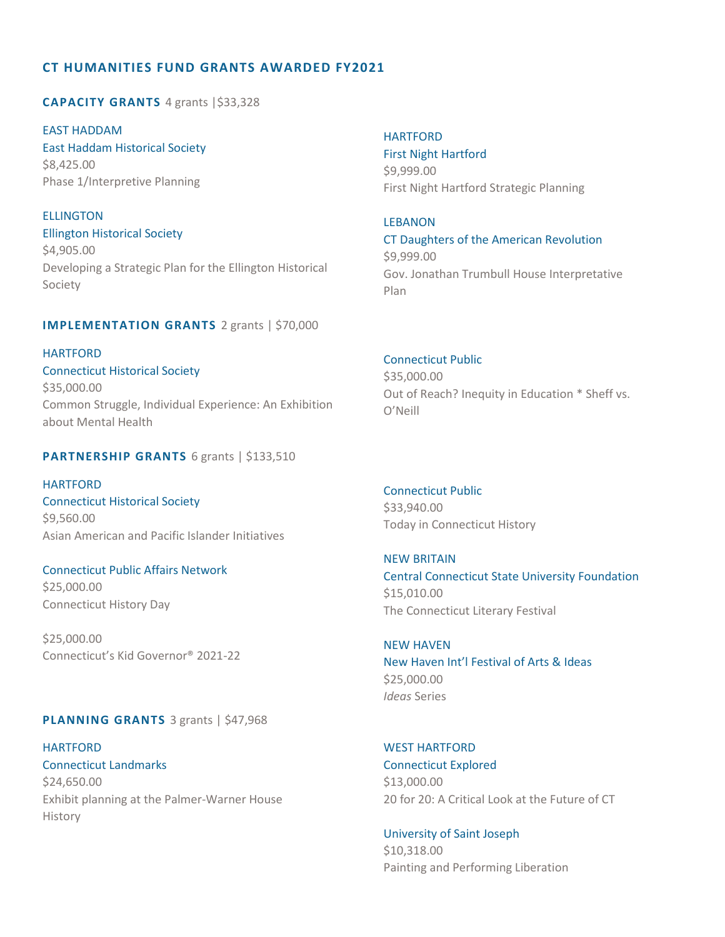# **CT HUMANITIES FUND GRANTS AWARDED FY2021**

**CAPACITY GRANTS** 4 grants |\$33,328

EAST HADDAM East Haddam Historical Society \$8,425.00 Phase 1/Interpretive Planning

**ELLINGTON** Ellington Historical Society \$4,905.00 Developing a Strategic Plan for the Ellington Historical Society

#### **IMPLEMENTATION GRANTS** 2 grants | \$70,000

HARTFORD Connecticut Historical Society \$35,000.00 Common Struggle, Individual Experience: An Exhibition about Mental Health

# **PARTNERSHIP GRANTS** 6 grants | \$133,510

HARTFORD Connecticut Historical Society \$9,560.00 Asian American and Pacific Islander Initiatives

Connecticut Public Affairs Network \$25,000.00 Connecticut History Day

\$25,000.00 Connecticut's Kid Governor® 2021-22

# **PLANNING GRANTS** 3 grants | \$47,968

HARTFORD WEST HARTFORD Connecticut Landmarks Connecticut Explored \$24,650.00 \$13,000.00 Exhibit planning at the Palmer-Warner House 20 for 20: A Critical Look at the Future of CT History

**HARTFORD** First Night Hartford \$9,999.00 First Night Hartford Strategic Planning

LEBANON CT Daughters of the American Revolution \$9,999.00 Gov. Jonathan Trumbull House Interpretative Plan

#### Connecticut Public

\$35,000.00 Out of Reach? Inequity in Education \* Sheff vs. O'Neill

Connecticut Public \$33,940.00 Today in Connecticut History

NEW BRITAIN Central Connecticut State University Foundation \$15,010.00 The Connecticut Literary Festival

#### NEW HAVEN

New Haven Int'l Festival of Arts & Ideas \$25,000.00 *Ideas* Series

 University of Saint Joseph \$10,318.00 Painting and Performing Liberation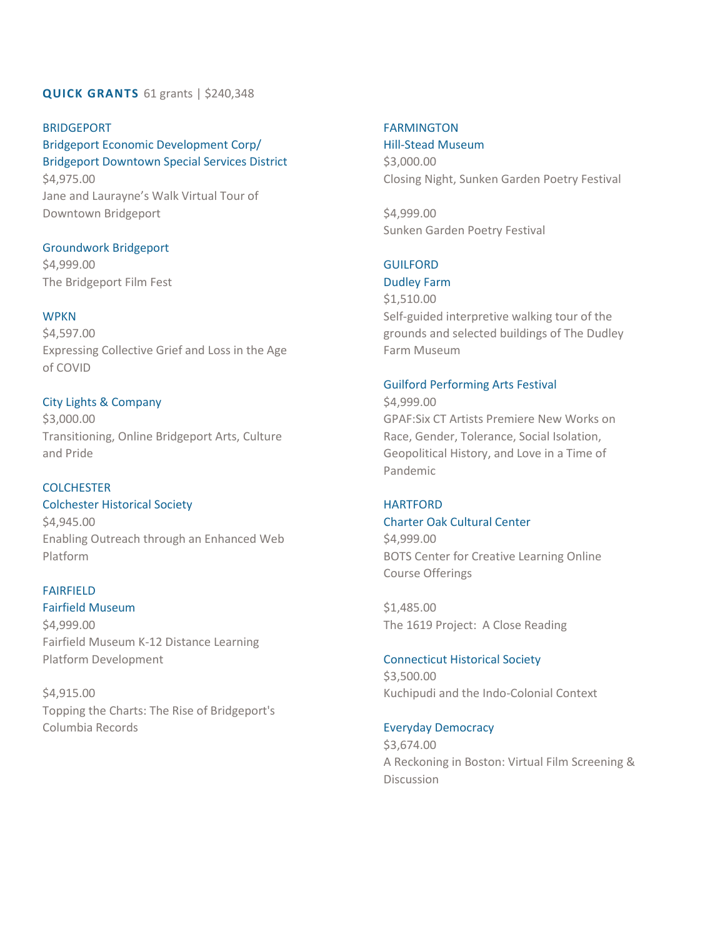# **QUICK GRANTS** 61 grants | \$240,348

# BRIDGEPORT Bridgeport Economic Development Corp/ Bridgeport Downtown Special Services District \$4,975.00

Jane and Laurayne's Walk Virtual Tour of Downtown Bridgeport

# Groundwork Bridgeport

\$4,999.00 The Bridgeport Film Fest

# **WPKN**

\$4,597.00 Expressing Collective Grief and Loss in the Age of COVID

# City Lights & Company

\$3,000.00 Transitioning, Online Bridgeport Arts, Culture and Pride

# **COLCHESTER**

Colchester Historical Society \$4,945.00 Enabling Outreach through an Enhanced Web Platform

#### FAIRFIELD

# Fairfield Museum

\$4,999.00 Fairfield Museum K-12 Distance Learning Platform Development

\$4,915.00 Topping the Charts: The Rise of Bridgeport's Columbia Records

# FARMINGTON

Hill-Stead Museum \$3,000.00 Closing Night, Sunken Garden Poetry Festival

\$4,999.00 Sunken Garden Poetry Festival

# GUILFORD

# Dudley Farm

\$1,510.00 Self-guided interpretive walking tour of the grounds and selected buildings of The Dudley Farm Museum

# Guilford Performing Arts Festival

\$4,999.00 GPAF:Six CT Artists Premiere New Works on Race, Gender, Tolerance, Social Isolation, Geopolitical History, and Love in a Time of Pandemic

# **HARTFORD**

# Charter Oak Cultural Center

\$4,999.00 BOTS Center for Creative Learning Online Course Offerings

\$1,485.00 The 1619 Project: A Close Reading

Connecticut Historical Society \$3,500.00 Kuchipudi and the Indo-Colonial Context

# Everyday Democracy

\$3,674.00 A Reckoning in Boston: Virtual Film Screening & **Discussion**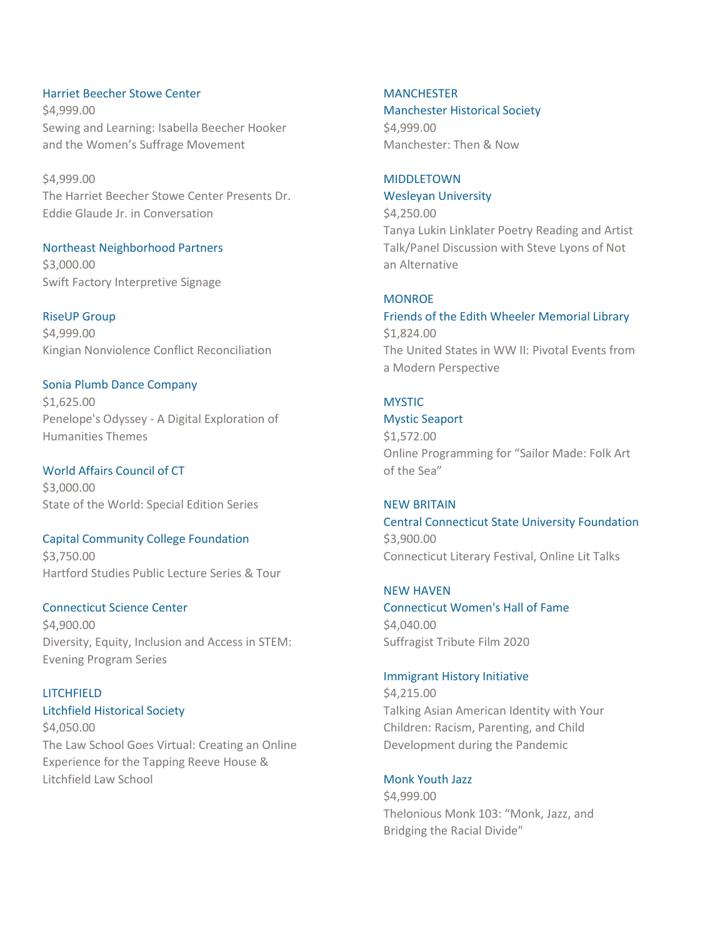Harriet Beecher Stowe Center \$4,999.00 Sewing and Learning: Isabella Beecher Hooker and the Women's Suffrage Movement

\$4,999.00 The Harriet Beecher Stowe Center Presents Dr. Eddie Glaude Jr. in Conversation

Northeast Neighborhood Partners \$3,000.00 Swift Factory Interpretive Signage

RiseUP Group \$4,999.00 Kingian Nonviolence Conflict Reconciliation

#### Sonia Plumb Dance Company

\$1,625.00 Penelope's Odyssey - A Digital Exploration of Humanities Themes

World Affairs Council of CT \$3,000.00 State of the World: Special Edition Series

# Capital Community College Foundation

\$3,750.00 Hartford Studies Public Lecture Series & Tour

# Connecticut Science Center

\$4,900.00 Diversity, Equity, Inclusion and Access in STEM: Evening Program Series

# **LITCHFIELD**

Litchfield Historical Society

\$4,050.00 The Law School Goes Virtual: Creating an Online Experience for the Tapping Reeve House & Litchfield Law School

# **MANCHESTER**

Manchester Historical Society

\$4,999.00 Manchester: Then & Now

# MIDDLETOWN

#### Wesleyan University

\$4,250.00 Tanya Lukin Linklater Poetry Reading and Artist Talk/Panel Discussion with Steve Lyons of Not an Alternative

# **MONROE**

Friends of the Edith Wheeler Memorial Library \$1,824.00 The United States in WW II: Pivotal Events from a Modern Perspective

# **MYSTIC**

Mystic Seaport

\$1,572.00 Online Programming for "Sailor Made: Folk Art of the Sea"

#### NEW BRITAIN

Central Connecticut State University Foundation \$3,900.00 Connecticut Literary Festival, Online Lit Talks

# NEW HAVEN

Connecticut Women's Hall of Fame \$4,040.00 Suffragist Tribute Film 2020

#### Immigrant History Initiative

\$4,215.00 Talking Asian American Identity with Your Children: Racism, Parenting, and Child Development during the Pandemic

#### Monk Youth Jazz

\$4,999.00 Thelonious Monk 103: "Monk, Jazz, and Bridging the Racial Divide"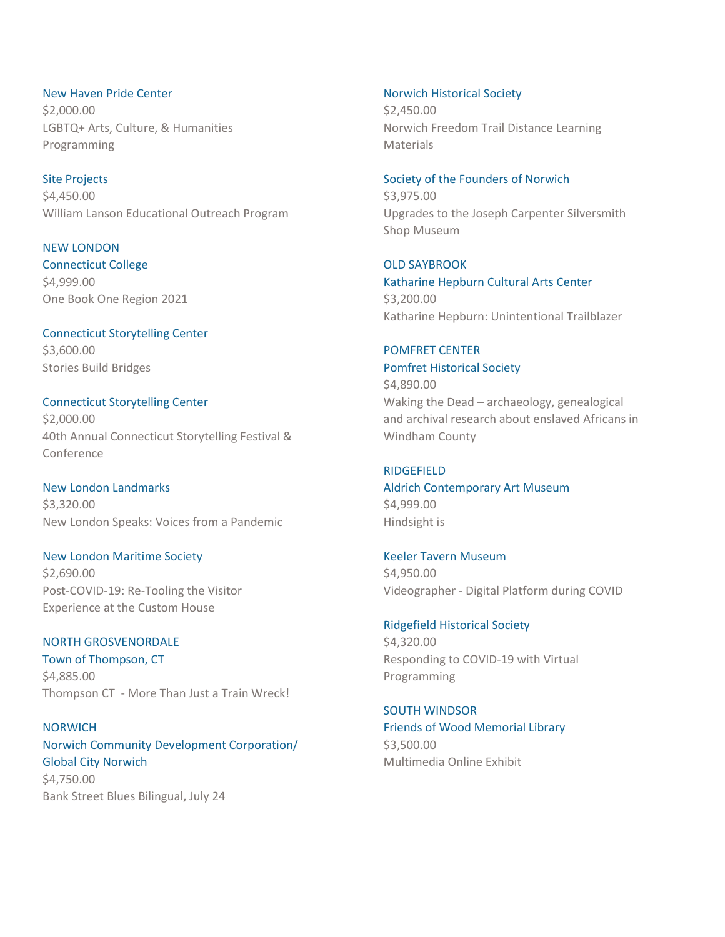New Haven Pride Center \$2,000.00 LGBTQ+ Arts, Culture, & Humanities Programming

Site Projects \$4,450.00 William Lanson Educational Outreach Program

NEW LONDON Connecticut College \$4,999.00 One Book One Region 2021

Connecticut Storytelling Center \$3,600.00 Stories Build Bridges

Connecticut Storytelling Center \$2,000.00 40th Annual Connecticut Storytelling Festival & Conference

New London Landmarks \$3,320.00 New London Speaks: Voices from a Pandemic

New London Maritime Society \$2,690.00 Post-COVID-19: Re-Tooling the Visitor Experience at the Custom House

NORTH GROSVENORDALE Town of Thompson, CT \$4,885.00 Thompson CT - More Than Just a Train Wreck!

**NORWICH** Norwich Community Development Corporation/ Global City Norwich \$4,750.00 Bank Street Blues Bilingual, July 24

Norwich Historical Society \$2,450.00 Norwich Freedom Trail Distance Learning **Materials** 

Society of the Founders of Norwich \$3,975.00 Upgrades to the Joseph Carpenter Silversmith Shop Museum

OLD SAYBROOK Katharine Hepburn Cultural Arts Center \$3,200.00 Katharine Hepburn: Unintentional Trailblazer

POMFRET CENTER Pomfret Historical Society \$4,890.00 Waking the Dead – archaeology, genealogical and archival research about enslaved Africans in Windham County

RIDGEFIELD Aldrich Contemporary Art Museum \$4,999.00 Hindsight is

Keeler Tavern Museum \$4,950.00 Videographer - Digital Platform during COVID

Ridgefield Historical Society \$4,320.00 Responding to COVID-19 with Virtual Programming

SOUTH WINDSOR Friends of Wood Memorial Library \$3,500.00 Multimedia Online Exhibit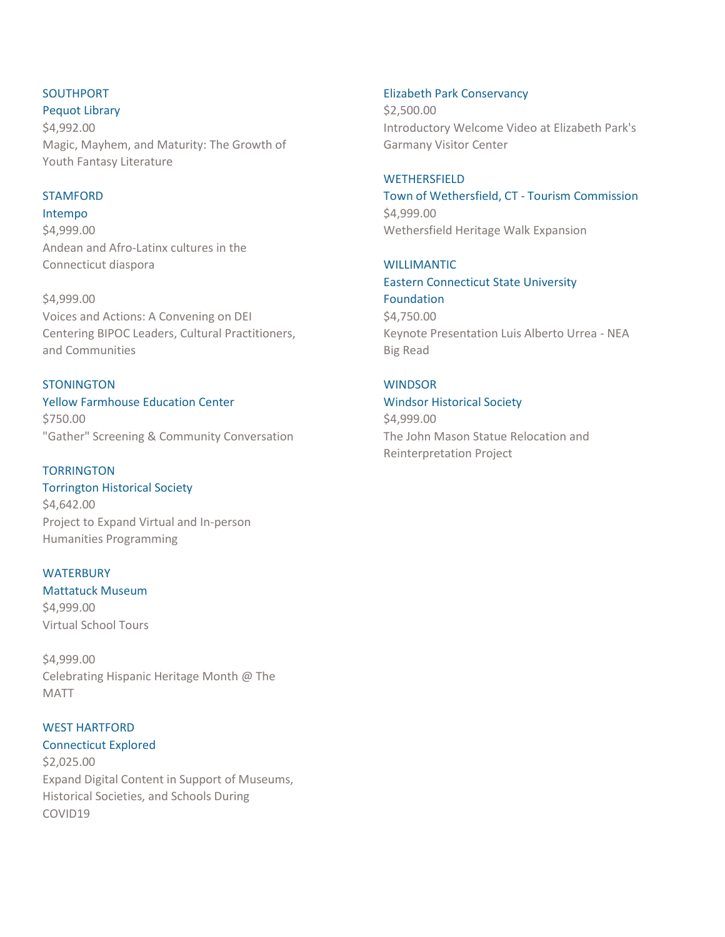# SOUTHPORT

Pequot Library

\$4,992.00 Magic, Mayhem, and Maturity: The Growth of Youth Fantasy Literature

# STAMFORD

Intempo \$4,999.00 Andean and Afro-Latinx cultures in the Connecticut diaspora

\$4,999.00 Voices and Actions: A Convening on DEI Centering BIPOC Leaders, Cultural Practitioners, and Communities

# **STONINGTON**

Yellow Farmhouse Education Center \$750.00 "Gather" Screening & Community Conversation

**TORRINGTON** Torrington Historical Society \$4,642.00 Project to Expand Virtual and In-person Humanities Programming

# **WATERBURY**

Mattatuck Museum \$4,999.00 Virtual School Tours

\$4,999.00 Celebrating Hispanic Heritage Month @ The MATT

# WEST HARTFORD

# Connecticut Explored

\$2,025.00 Expand Digital Content in Support of Museums, Historical Societies, and Schools During COVID19

Elizabeth Park Conservancy

\$2,500.00 Introductory Welcome Video at Elizabeth Park's Garmany Visitor Center

**WETHERSFIELD** Town of Wethersfield, CT - Tourism Commission \$4,999.00 Wethersfield Heritage Walk Expansion

WILLIMANTIC Eastern Connecticut State University Foundation \$4,750.00 Keynote Presentation Luis Alberto Urrea - NEA Big Read

# **WINDSOR**

# Windsor Historical Society

\$4,999.00 The John Mason Statue Relocation and Reinterpretation Project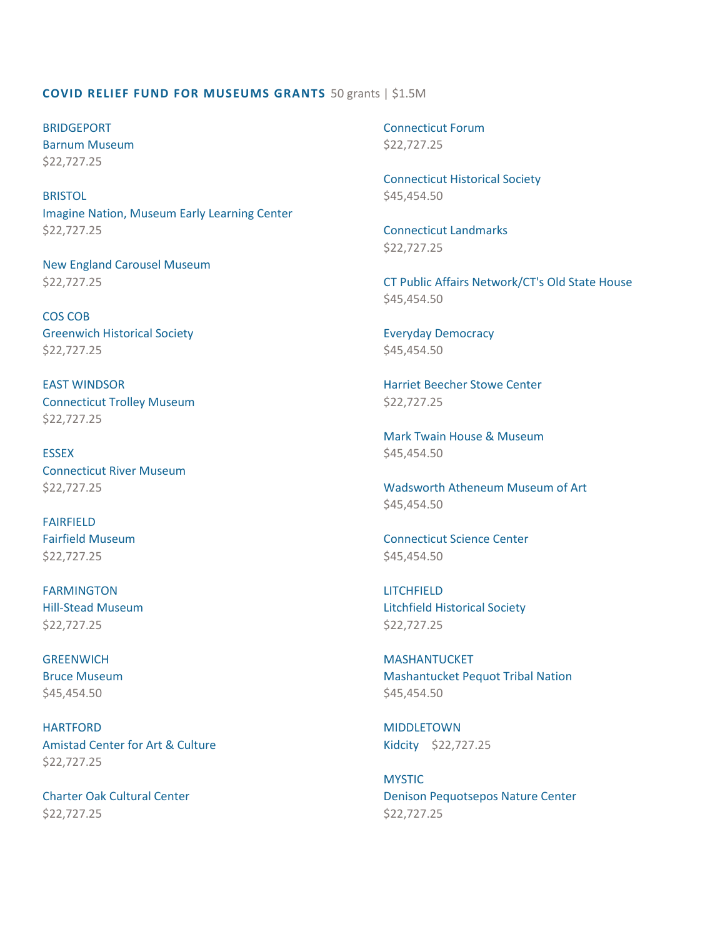#### **COVID RELIEF FUND FOR MUSEUMS GRANTS** 50 grants | \$1.5M

BRIDGEPORT Barnum Museum \$22,727.25

**BRISTOL** Imagine Nation, Museum Early Learning Center \$22,727.25

New England Carousel Museum \$22,727.25

COS COB Greenwich Historical Society \$22,727.25

EAST WINDSOR Connecticut Trolley Museum \$22,727.25

**ESSEX** Connecticut River Museum \$22,727.25

FAIRFIELD Fairfield Museum \$22,727.25

FARMINGTON Hill-Stead Museum \$22,727.25

**GREENWICH** Bruce Museum \$45,454.50

HARTFORD Amistad Center for Art & Culture \$22,727.25

Charter Oak Cultural Center \$22,727.25

Connecticut Forum \$22,727.25

Connecticut Historical Society \$45,454.50

Connecticut Landmarks \$22,727.25

CT Public Affairs Network/CT's Old State House \$45,454.50

Everyday Democracy \$45,454.50

Harriet Beecher Stowe Center \$22,727.25

Mark Twain House & Museum \$45,454.50

Wadsworth Atheneum Museum of Art \$45,454.50

Connecticut Science Center \$45,454.50

LITCHFIELD Litchfield Historical Society \$22,727.25

MASHANTUCKET Mashantucket Pequot Tribal Nation \$45,454.50

MIDDLETOWN Kidcity \$22,727.25

**MYSTIC** Denison Pequotsepos Nature Center \$22,727.25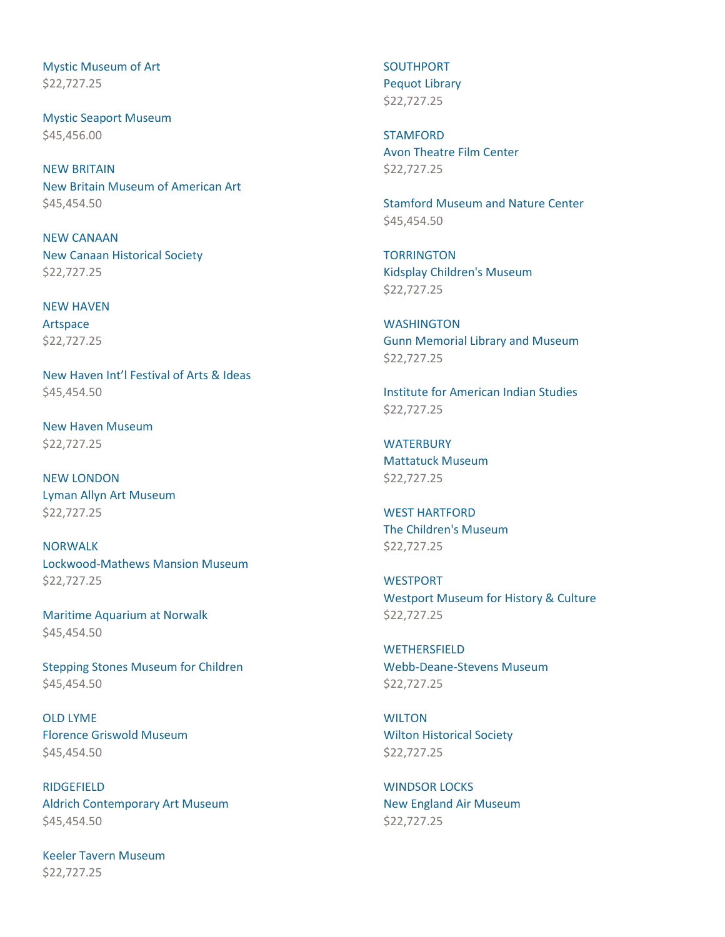Mystic Museum of Art \$22,727.25

Mystic Seaport Museum \$45,456.00

NEW BRITAIN New Britain Museum of American Art \$45,454.50

NEW CANAAN New Canaan Historical Society \$22,727.25

NEW HAVEN Artspace \$22,727.25

New Haven Int'l Festival of Arts & Ideas \$45,454.50

New Haven Museum \$22,727.25

NEW LONDON Lyman Allyn Art Museum \$22,727.25

NORWALK Lockwood-Mathews Mansion Museum \$22,727.25

Maritime Aquarium at Norwalk \$45,454.50

Stepping Stones Museum for Children \$45,454.50

OLD LYME Florence Griswold Museum \$45,454.50

RIDGEFIELD Aldrich Contemporary Art Museum \$45,454.50

Keeler Tavern Museum \$22,727.25

SOUTHPORT Pequot Library \$22,727.25

**STAMFORD** Avon Theatre Film Center \$22,727.25

Stamford Museum and Nature Center \$45,454.50

**TORRINGTON** Kidsplay Children's Museum \$22,727.25

**WASHINGTON** Gunn Memorial Library and Museum \$22,727.25

Institute for American Indian Studies \$22,727.25

**WATERBURY** Mattatuck Museum \$22,727.25

WEST HARTFORD The Children's Museum \$22,727.25

**WESTPORT** Westport Museum for History & Culture \$22,727.25

**WETHERSFIELD** Webb-Deane-Stevens Museum \$22,727.25

**WILTON** Wilton Historical Society \$22,727.25

WINDSOR LOCKS New England Air Museum \$22,727.25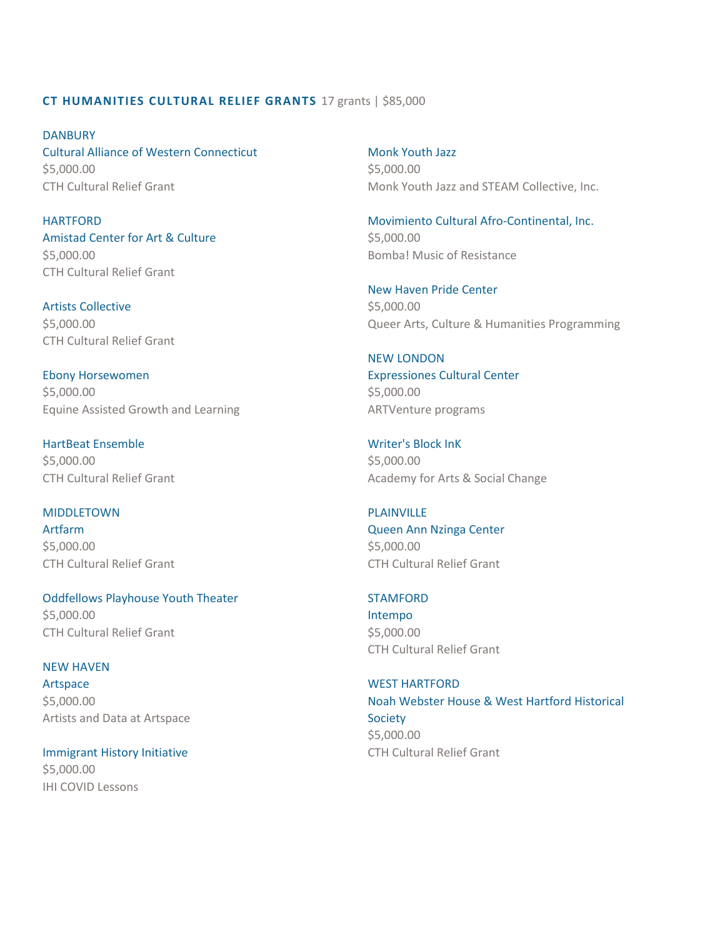# **CT HUMANITIES CULTURAL RELIEF GRANTS** 17 grants | \$85,000

**DANBURY** Cultural Alliance of Western Connecticut \$5,000.00 CTH Cultural Relief Grant

**HARTFORD** Amistad Center for Art & Culture \$5,000.00 CTH Cultural Relief Grant

Artists Collective \$5,000.00 CTH Cultural Relief Grant

Ebony Horsewomen \$5,000.00 Equine Assisted Growth and Learning

HartBeat Ensemble \$5,000.00 CTH Cultural Relief Grant

#### MIDDLETOWN

Artfarm \$5,000.00 CTH Cultural Relief Grant

Oddfellows Playhouse Youth Theater \$5,000.00 CTH Cultural Relief Grant

# NEW HAVEN

Artspace \$5,000.00 Artists and Data at Artspace

Immigrant History Initiative \$5,000.00 IHI COVID Lessons

Monk Youth Jazz \$5,000.00 Monk Youth Jazz and STEAM Collective, Inc.

Movimiento Cultural Afro-Continental, Inc. \$5,000.00 Bomba! Music of Resistance

New Haven Pride Center \$5,000.00 Queer Arts, Culture & Humanities Programming

# NEW LONDON

Expressiones Cultural Center \$5,000.00 ARTVenture programs

Writer's Block InK \$5,000.00 Academy for Arts & Social Change

#### PLAINVILLE

Queen Ann Nzinga Center \$5,000.00 CTH Cultural Relief Grant

# STAMFORD

Intempo \$5,000.00 CTH Cultural Relief Grant

WEST HARTFORD Noah Webster House & West Hartford Historical Society \$5,000.00 CTH Cultural Relief Grant